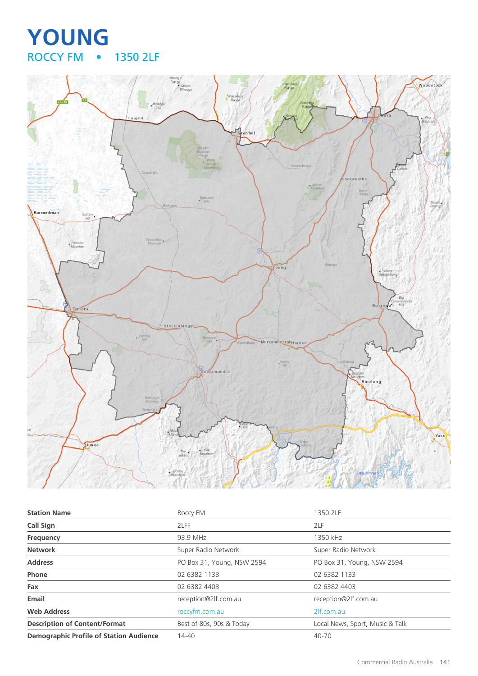## **YOUNG** • 1350 2LF



| <b>Station Name</b>                            | Roccy FM                   | 1350 2LF                        |
|------------------------------------------------|----------------------------|---------------------------------|
| <b>Call Sign</b>                               | 2LFF                       | 2LF                             |
| Frequency                                      | 93.9 MHz                   | 1350 kHz                        |
| <b>Network</b>                                 | Super Radio Network        | Super Radio Network             |
| <b>Address</b>                                 | PO Box 31, Young, NSW 2594 | PO Box 31, Young, NSW 2594      |
| Phone                                          | 02 6382 1133               | 02 6382 1133                    |
| Fax                                            | 02 6382 4403               | 02 6382 4403                    |
| Email                                          | reception@2lf.com.au       | reception@2lf.com.au            |
| <b>Web Address</b>                             | roccyfm.com.au             | 2lf.com.au                      |
| <b>Description of Content/Format</b>           | Best of 80s, 90s & Today   | Local News, Sport, Music & Talk |
| <b>Demographic Profile of Station Audience</b> | 14-40                      | 40-70                           |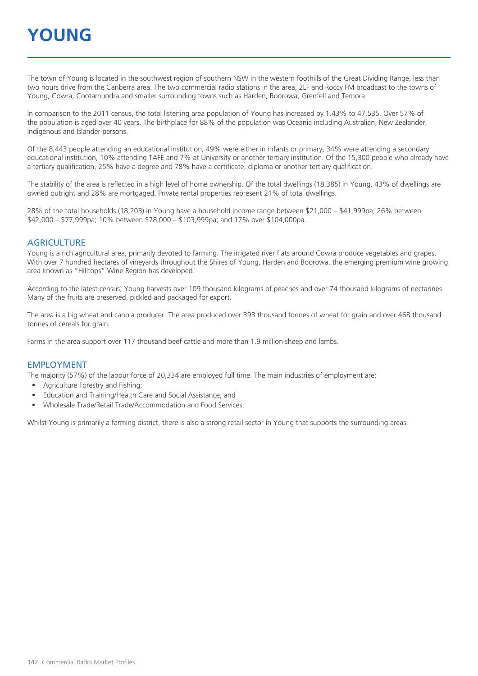The town of Young is located in the southwest region of southern NSW in the western foothills of the Great Dividing Range, less than two hours drive from the Canberra area. The two commercial radio stations in the area, 2LF and Roccy FM broadcast to the towns of Young, Cowra, Cootamundra and smaller surrounding towns such as Harden, Boorowa, Grenfell and Temora.

In comparison to the 2011 census, the total listening area population of Young has increased by 1.43% to 47,535. Over 57% of the population is aged over 40 years. The birthplace for 88% of the population was Oceania including Australian, New Zealander, Indigenous and Islander persons.

Of the 8,443 people attending an educational institution, 49% were either in infants or primary, 34% were attending a secondary educational institution, 10% attending TAFE and 7% at University or another tertiary institution. Of the 15,300 people who already have a tertiary qualification, 25% have a degree and 78% have a certificate, diploma or another tertiary qualification.

The stability of the area is reflected in a high level of home ownership. Of the total dwellings (18,385) in Young, 43% of dwellings are owned outright and 28% are mortgaged. Private rental properties represent 21% of total dwellings.

28% of the total households (18,203) in Young have a household income range between \$21,000 – \$41,999pa; 26% between \$42,000 – \$77,999pa; 10% between \$78,000 – \$103,999pa; and 17% over \$104,000pa.

#### **AGRICULTURE**

Young is a rich agricultural area, primarily devoted to farming. The irrigated river flats around Cowra produce vegetables and grapes. With over 7 hundred hectares of vineyards throughout the Shires of Young, Harden and Boorowa, the emerging premium wine growing area known as "Hilltops" Wine Region has developed.

According to the latest census, Young harvests over 109 thousand kilograms of peaches and over 74 thousand kilograms of nectarines. Many of the fruits are preserved, pickled and packaged for export.

The area is a big wheat and canola producer. The area produced over 393 thousand tonnes of wheat for grain and over 468 thousand tonnes of cereals for grain.

Farms in the area support over 117 thousand beef cattle and more than 1.9 million sheep and lambs.

#### EMPLOYMENT

The majority (57%) of the labour force of 20,334 are employed full time. The main industries of employment are:

- Agriculture Forestry and Fishing;
- Education and Training/Health Care and Social Assistance; and
- Wholesale Trade/Retail Trade/Accommodation and Food Services.

Whilst Young is primarily a farming district, there is also a strong retail sector in Young that supports the surrounding areas.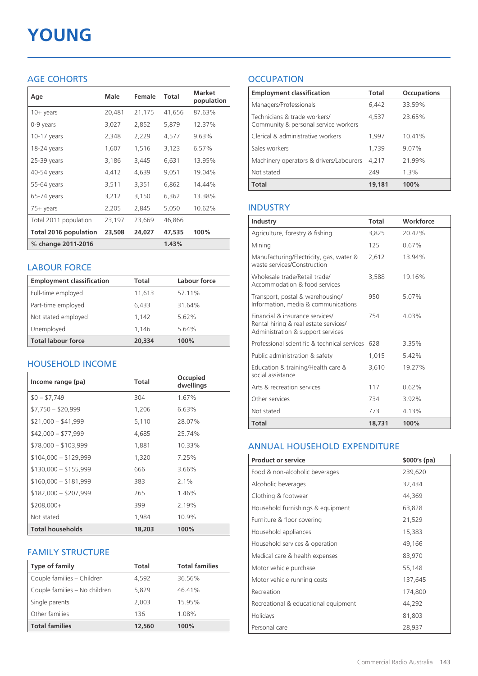# **YOUNG**

## AGE COHORTS

| Age                   | Male   | Female | Total  | <b>Market</b><br>population |
|-----------------------|--------|--------|--------|-----------------------------|
| $10 + \gamma$ ears    | 20,481 | 21,175 | 41.656 | 87.63%                      |
| 0-9 years             | 3,027  | 2,852  | 5,879  | 12.37%                      |
| $10-17$ years         | 2,348  | 2,229  | 4,577  | 9.63%                       |
| 18-24 years           | 1,607  | 1,516  | 3,123  | 6.57%                       |
| 25-39 years           | 3,186  | 3,445  | 6,631  | 13.95%                      |
| 40-54 years           | 4,412  | 4,639  | 9,051  | 19.04%                      |
| 55-64 years           | 3,511  | 3,351  | 6,862  | 14.44%                      |
| 65-74 years           | 3,212  | 3,150  | 6,362  | 13.38%                      |
| 75+ years             | 2,205  | 2,845  | 5,050  | 10.62%                      |
| Total 2011 population | 23,197 | 23,669 | 46,866 |                             |
| Total 2016 population | 23,508 | 24,027 | 47,535 | 100%                        |
| % change 2011-2016    |        |        | 1.43%  |                             |

#### LABOUR FORCE

| <b>Employment classification</b> | Total  | Labour force |
|----------------------------------|--------|--------------|
| Full-time employed               | 11,613 | 57.11%       |
| Part-time employed               | 6,433  | 31.64%       |
| Not stated employed              | 1.142  | 5.62%        |
| Unemployed                       | 1.146  | 5.64%        |
| <b>Total labour force</b>        | 20,334 | 100%         |

## HOUSEHOLD INCOME

| Income range (pa)       | Total  | Occupied<br>dwellings |
|-------------------------|--------|-----------------------|
| $$0 - $7,749$           | 304    | 1.67%                 |
| $$7,750 - $20,999$      | 1,206  | 6.63%                 |
| $$21,000 - $41,999$     | 5,110  | 28.07%                |
| $$42,000 - $77,999$     | 4,685  | 25.74%                |
| $$78,000 - $103,999$    | 1,881  | 10.33%                |
| $$104,000 - $129,999$   | 1,320  | 7.25%                 |
| $$130,000 - $155,999$   | 666    | 3.66%                 |
| $$160,000 - $181,999$   | 383    | $2.1\%$               |
| $$182,000 - $207,999$   | 265    | 1.46%                 |
| $$208,000+$             | 399    | 2.19%                 |
| Not stated              | 1,984  | 10.9%                 |
| <b>Total households</b> | 18,203 | 100%                  |

## FAMILY STRUCTURE

| <b>Type of family</b>         | Total  | <b>Total families</b> |
|-------------------------------|--------|-----------------------|
| Couple families - Children    | 4,592  | 36.56%                |
| Couple families - No children | 5.829  | 46.41%                |
| Single parents                | 2.003  | 15.95%                |
| Other families                | 136    | 1.08%                 |
| <b>Total families</b>         | 12,560 | 100%                  |

## **OCCUPATION**

| <b>Employment classification</b>                                     | <b>Total</b> | <b>Occupations</b> |
|----------------------------------------------------------------------|--------------|--------------------|
| Managers/Professionals                                               | 6.442        | 33.59%             |
| Technicians & trade workers/<br>Community & personal service workers | 4,537        | 23.65%             |
| Clerical & administrative workers                                    | 1,997        | 10.41%             |
| Sales workers                                                        | 1,739        | 9.07%              |
| Machinery operators & drivers/Labourers                              | 4.217        | 21.99%             |
| Not stated                                                           | 249          | $1.3\%$            |
| <b>Total</b>                                                         | 19,181       | 100%               |

#### INDUSTRY

| Industry                                                                                                      | Total  | Workforce |
|---------------------------------------------------------------------------------------------------------------|--------|-----------|
| Agriculture, forestry & fishing                                                                               | 3,825  | 20.42%    |
| Mining                                                                                                        | 125    | 0.67%     |
| Manufacturing/Electricity, gas, water &<br>waste services/Construction                                        | 2,612  | 13.94%    |
| Wholesale trade/Retail trade/<br>Accommodation & food services                                                | 3,588  | 19.16%    |
| Transport, postal & warehousing/<br>Information, media & communications                                       | 950    | 5.07%     |
| Financial & insurance services/<br>Rental hiring & real estate services/<br>Administration & support services | 754    | 4.03%     |
| Professional scientific & technical services                                                                  | 628    | 3.35%     |
| Public administration & safety                                                                                | 1.015  | 5.42%     |
| Education & training/Health care &<br>social assistance                                                       | 3,610  | 19.27%    |
| Arts & recreation services                                                                                    | 117    | 0.62%     |
| Other services                                                                                                | 734    | 3.92%     |
| Not stated                                                                                                    | 773    | 4.13%     |
| Total                                                                                                         | 18,731 | 100%      |

#### ANNUAL HOUSEHOLD EXPENDITURE

| <b>Product or service</b>            | $$000's$ (pa) |
|--------------------------------------|---------------|
| Food & non-alcoholic beverages       | 239,620       |
| Alcoholic beverages                  | 32,434        |
| Clothing & footwear                  | 44,369        |
| Household furnishings & equipment    | 63,828        |
| Furniture & floor covering           | 21,529        |
| Household appliances                 | 15,383        |
| Household services & operation       | 49,166        |
| Medical care & health expenses       | 83,970        |
| Motor vehicle purchase               | 55,148        |
| Motor vehicle running costs          | 137,645       |
| Recreation                           | 174,800       |
| Recreational & educational equipment | 44,292        |
| Holidays                             | 81,803        |
| Personal care                        | 28,937        |